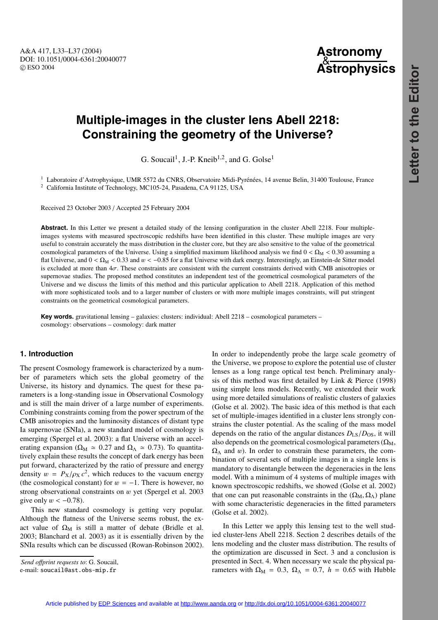A&A 417, L33–L37 (2004) DOI: 10.1051/0004-6361:20040077 c ESO 2004

# **Astronomy** & **Astrophysics**

# **Multiple-images in the cluster lens Abell 2218: Constraining the geometry of the Universe?**

G. Soucail<sup>1</sup>, J.-P. Kneib<sup>1,2</sup>, and G. Golse<sup>1</sup>

<sup>1</sup> Laboratoire d'Astrophysique, UMR 5572 du CNRS, Observatoire Midi-Pyrénées, 14 avenue Belin, 31400 Toulouse, France

<sup>2</sup> California Institute of Technology, MC105-24, Pasadena, CA 91125, USA

Received 23 October 2003 / Accepted 25 February 2004

**Abstract.** In this Letter we present a detailed study of the lensing configuration in the cluster Abell 2218. Four multipleimages systems with measured spectroscopic redshifts have been identified in this cluster. These multiple images are very useful to constrain accurately the mass distribution in the cluster core, but they are also sensitive to the value of the geometrical cosmological parameters of the Universe. Using a simplified maximum likelihood analysis we find  $0 < \Omega_M < 0.30$  assuming a flat Universe, and  $0 < \Omega_M < 0.33$  and  $w < -0.85$  for a flat Universe with dark energy. Interestingly, an Einstein-de Sitter model is excluded at more than  $4\sigma$ . These constraints are consistent with the current constraints derived with CMB anisotropies or supernovae studies. The proposed method constitutes an independent test of the geometrical cosmological parameters of the Universe and we discuss the limits of this method and this particular application to Abell 2218. Application of this method with more sophisticated tools and to a larger number of clusters or with more multiple images constraints, will put stringent constraints on the geometrical cosmological parameters.

**Key words.** gravitational lensing – galaxies: clusters: individual: Abell 2218 – cosmological parameters – cosmology: observations – cosmology: dark matter

# **1. Introduction**

The present Cosmology framework is characterized by a number of parameters which sets the global geometry of the Universe, its history and dynamics. The quest for these parameters is a long-standing issue in Observational Cosmology and is still the main driver of a large number of experiments. Combining constraints coming from the power spectrum of the CMB anisotropies and the luminosity distances of distant type Ia supernovae (SNIa), a new standard model of cosmology is emerging (Spergel et al. 2003): a flat Universe with an accelerating expansion ( $\Omega_M \approx 0.27$  and  $\Omega_{\Lambda} \approx 0.73$ ). To quantitatively explain these results the concept of dark energy has been put forward, characterized by the ratio of pressure and energy density  $w = P_X/\rho_X c^2$ , which reduces to the vacuum energy (the cosmological constant) for  $w = -1$ . There is however, no strong observational constraints on w yet (Spergel et al. 2003 give only  $w < -0.78$ ).

This new standard cosmology is getting very popular. Although the flatness of the Universe seems robust, the exact value of  $\Omega_M$  is still a matter of debate (Bridle et al. 2003; Blanchard et al. 2003) as it is essentially driven by the SNIa results which can be discussed (Rowan-Robinson 2002).

*Send o*ff*print requests to*: G. Soucail,

In order to independently probe the large scale geometry of the Universe, we propose to explore the potential use of cluster lenses as a long range optical test bench. Preliminary analysis of this method was first detailed by Link & Pierce (1998) using simple lens models. Recently, we extended their work using more detailed simulations of realistic clusters of galaxies (Golse et al. 2002). The basic idea of this method is that each set of multiple-images identified in a cluster lens strongly constrains the cluster potential. As the scaling of the mass model depends on the ratio of the angular distances  $D_{LS}/D_{OS}$ , it will also depends on the geometrical cosmological parameters  $(\Omega_M, \Omega_M)$  $\Omega_{\Lambda}$  and w). In order to constrain these parameters, the combination of several sets of multiple images in a single lens is mandatory to disentangle between the degeneracies in the lens model. With a minimum of 4 systems of multiple images with known spectroscopic redshifts, we showed (Golse et al. 2002) that one can put reasonable constraints in the  $(\Omega_M, \Omega_\Lambda)$  plane with some characteristic degeneracies in the fitted parameters (Golse et al. 2002).

In this Letter we apply this lensing test to the well studied cluster-lens Abell 2218. Section 2 describes details of the lens modeling and the cluster mass distribution. The results of the optimization are discussed in Sect. 3 and a conclusion is presented in Sect. 4. When necessary we scale the physical parameters with  $\Omega_M = 0.3$ ,  $\Omega_A = 0.7$ ,  $h = 0.65$  with Hubble

e-mail: soucail@ast.obs-mip.fr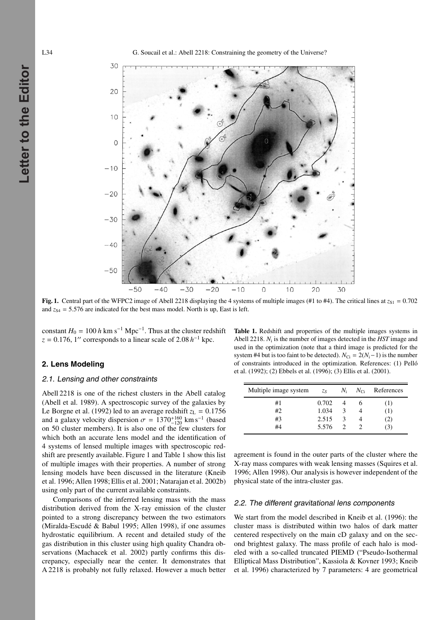**Letter to the Editor**

Letter to the Editor

L34 G. Soucail et al.: Abell 2218: Constraining the geometry of the Universe?



**Fig. 1.** Central part of the WFPC2 image of Abell 2218 displaying the 4 systems of multiple images (#1 to #4). The critical lines at  $z_{S1} = 0.702$ and  $z_{S4} = 5.576$  are indicated for the best mass model. North is up, East is left.

constant  $H_0 = 100 h \text{ km s}^{-1} \text{ Mpc}^{-1}$ . Thus at the cluster redshift  $z = 0.176$ , 1'' corresponds to a linear scale of 2.08 *h*<sup>-1</sup> kpc.

### **2. Lens Modeling**

#### 2.1. Lensing and other constraints

Abell 2218 is one of the richest clusters in the Abell catalog (Abell et al. 1989). A spectroscopic survey of the galaxies by Le Borgne et al. (1992) led to an average redshift  $z_L = 0.1756$ and a galaxy velocity dispersion  $\sigma = 1370^{+160}_{-120}$  km s<sup>-1</sup> (based on 50 cluster members). It is also one of the few clusters for which both an accurate lens model and the identification of 4 systems of lensed multiple images with spectroscopic redshift are presently available. Figure 1 and Table 1 show this list of multiple images with their properties. A number of strong lensing models have been discussed in the literature (Kneib et al. 1996; Allen 1998; Ellis et al. 2001; Natarajan et al. 2002b) using only part of the current available constraints.

Comparisons of the inferred lensing mass with the mass distribution derived from the X-ray emission of the cluster pointed to a strong discrepancy between the two estimators (Miralda-Escudé & Babul 1995; Allen 1998), if one assumes hydrostatic equilibrium. A recent and detailed study of the gas distribution in this cluster using high quality Chandra observations (Machacek et al. 2002) partly confirms this discrepancy, especially near the center. It demonstrates that A 2218 is probably not fully relaxed. However a much better **Table 1.** Redshift and properties of the multiple images systems in Abell 2218. *N*<sup>i</sup> is the number of images detected in the *HST* image and used in the optimization (note that a third image is predicted for the system #4 but is too faint to be detected).  $N_{\text{Ci}} = 2(N_i-1)$  is the number of constraints introduced in the optimization. References: (1) Pelló et al. (1992); (2) Ebbels et al. (1996); (3) Ellis et al. (2001).

| Multiple image system | $Z_{S}$ |   | $N_i$ $N_{Ci}$ References |
|-----------------------|---------|---|---------------------------|
| #1                    | 0.702   |   | (1)                       |
| #2                    | 1.034   | 3 | (1)                       |
| #3                    | 2.515   | 3 | (2)                       |
| #4                    | 5.576   |   | (3)                       |

agreement is found in the outer parts of the cluster where the X-ray mass compares with weak lensing masses (Squires et al. 1996; Allen 1998). Our analysis is however independent of the physical state of the intra-cluster gas.

#### 2.2. The different gravitational lens components

We start from the model described in Kneib et al. (1996): the cluster mass is distributed within two halos of dark matter centered respectively on the main cD galaxy and on the second brightest galaxy. The mass profile of each halo is modeled with a so-called truncated PIEMD ("Pseudo-Isothermal Elliptical Mass Distribution", Kassiola & Kovner 1993; Kneib et al. 1996) characterized by 7 parameters: 4 are geometrical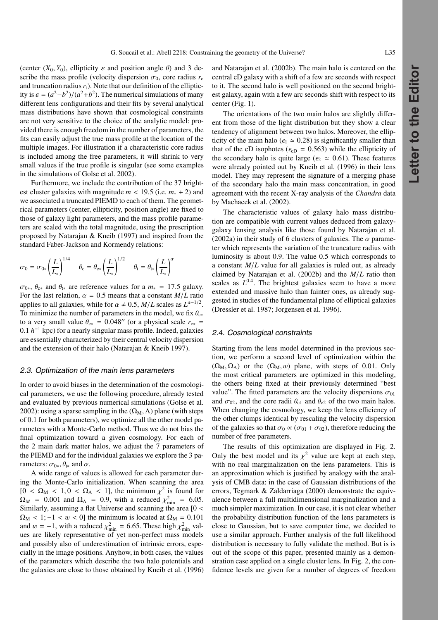(center  $(X_0, Y_0)$ , ellipticity  $\varepsilon$  and position angle  $\theta$ ) and 3 describe the mass profile (velocity dispersion  $\sigma_0$ , core radius  $r_c$ and truncation radius  $r_t$ ). Note that our definition of the ellipticity is  $\varepsilon = (a^2-b^2)/(a^2+b^2)$ . The numerical simulations of many different lens configurations and their fits by several analytical mass distributions have shown that cosmological constraints are not very sensitive to the choice of the analytic model: provided there is enough freedom in the number of parameters, the fits can easily adjust the true mass profile at the location of the multiple images. For illustration if a characteristic core radius is included among the free parameters, it will shrink to very small values if the true profile is singular (see some examples in the simulations of Golse et al. 2002).

Furthermore, we include the contribution of the 37 brightest cluster galaxies with magnitude  $m < 19.5$  (i.e.  $m_* + 2$ ) and we associated a truncated PIEMD to each of them. The geometrical parameters (center, ellipticity, position angle) are fixed to those of galaxy light parameters, and the mass profile parameters are scaled with the total magnitude, using the prescription proposed by Natarajan & Kneib (1997) and inspired from the standard Faber-Jackson and Kormendy relations:

$$
\sigma_0 = \sigma_{0*} \left(\frac{L}{L_*}\right)^{1/4} \quad \theta_{\rm c} = \theta_{\rm c*} \left(\frac{L}{L_*}\right)^{1/2} \quad \theta_{\rm t} = \theta_{\rm t*} \left(\frac{L}{L_*}\right)^{\alpha}
$$

 $\sigma_{0*}$ ,  $\theta_{c*}$  and  $\theta_{t*}$  are reference values for a  $m_* = 17.5$  galaxy. For the last relation,  $\alpha = 0.5$  means that a constant  $M/L$  ratio applies to all galaxies, while for  $\alpha \neq 0.5$ ,  $M/L$  scales as  $L^{\alpha-1/2}$ . To minimize the number of parameters in the model, we fix  $\theta_{c*}$ to a very small value  $\theta_{c*} = 0.048''$  (or a physical scale  $r_{c*} =$ 0.1 *h*−<sup>1</sup> kpc) for a nearly singular mass profile. Indeed, galaxies are essentially characterized by their central velocity dispersion and the extension of their halo (Natarajan & Kneib 1997).

#### 2.3. Optimization of the main lens parameters

In order to avoid biases in the determination of the cosmological parameters, we use the following procedure, already tested and evaluated by previous numerical simulations (Golse et al. 2002): using a sparse sampling in the  $(\Omega_M, \Lambda)$  plane (with steps of 0.1 for both parameters), we optimize all the other model parameters with a Monte-Carlo method. Thus we do not bias the final optimization toward a given cosmology. For each of the 2 main dark matter halos, we adjust the 7 parameters of the PIEMD and for the individual galaxies we explore the 3 parameters:  $\sigma_{0*}, \theta_{t*}$  and  $\alpha$ .

A wide range of values is allowed for each parameter during the Monte-Carlo initialization. When scanning the area  $[0 < \Omega_M < 1, 0 < \Omega_{\Lambda} < 1]$ , the minimum  $\chi^2$  is found for  $\Omega_M$  = 0.001 and  $\Omega_\Lambda$  = 0.9, with a reduced  $\chi^2_{\text{min}}$  = 6.05. Similarly, assuming a flat Universe and scanning the area  $[0 \lt \mathbb{R}]$  $\Omega_M$  < 1; -1 < w < 0] the minimum is located at  $\Omega_M$  = 0.101 and  $w = -1$ , with a reduced  $\chi^2_{\text{min}} = 6.65$ . These high  $\chi^2_{\text{min}}$  values are likely representative of yet non-perfect mass models and possibly also of underestimation of intrinsic errors, especially in the image positions. Anyhow, in both cases, the values of the parameters which describe the two halo potentials and the galaxies are close to those obtained by Kneib et al. (1996)

and Natarajan et al. (2002b). The main halo is centered on the central cD galaxy with a shift of a few arc seconds with respect to it. The second halo is well positioned on the second brightest galaxy, again with a few arc seconds shift with respect to its center (Fig. 1).

The orientations of the two main halos are slightly different from those of the light distribution but they show a clear tendency of alignment between two halos. Moreover, the ellipticity of the main halo ( $\epsilon_1 \approx 0.28$ ) is significantly smaller than that of the cD isophotes ( $\epsilon_{cD}$  = 0.563) while the ellipticity of the secondary halo is quite large ( $\epsilon_2 \approx 0.61$ ). These features were already pointed out by Kneib et al. (1996) in their lens model. They may represent the signature of a merging phase of the secondary halo the main mass concentration, in good agreement with the recent X-ray analysis of the *Chandra* data by Machacek et al. (2002).

The characteristic values of galaxy halo mass distribution are compatible with current values deduced from galaxygalaxy lensing analysis like those found by Natarajan et al. (2002a) in their study of 6 clusters of galaxies. The  $\alpha$  parameter which represents the variation of the truncature radius with luminosity is about 0.9. The value 0.5 which corresponds to a constant *M*/*L* value for all galaxies is ruled out, as already claimed by Natarajan et al. (2002b) and the *M*/*L* ratio then scales as  $L^{0.4}$ . The brightest galaxies seem to have a more extended and massive halo than fainter ones, as already suggested in studies of the fundamental plane of elliptical galaxies (Dressler et al. 1987; Jorgensen et al. 1996).

## 2.4. Cosmological constraints

Starting from the lens model determined in the previous section, we perform a second level of optimization within the  $(\Omega_M, \Omega_\Lambda)$  or the  $(\Omega_M, w)$  plane, with steps of 0.01. Only the most critical parameters are optimized in this modeling, the others being fixed at their previously determined "best value". The fitted parameters are the velocity dispersions  $\sigma_{01}$ and  $\sigma_{02}$ , and the core radii  $\theta_{c1}$  and  $\theta_{c2}$  of the two main halos. When changing the cosmology, we keep the lens efficiency of the other clumps identical by rescaling the velocity dispersion of the galaxies so that  $\sigma_0 \propto (\sigma_{01} + \sigma_{02})$ , therefore reducing the number of free parameters.

The results of this optimization are displayed in Fig. 2. Only the best model and its  $\chi^2$  value are kept at each step, with no real marginalization on the lens parameters. This is an approximation which is justified by analogy with the analysis of CMB data: in the case of Gaussian distributions of the errors, Tegmark & Zaldarriaga (2000) demonstrate the equivalence between a full multidimensional marginalization and a much simpler maximization. In our case, it is not clear whether the probability distribution function of the lens parameters is close to Gaussian, but to save computer time, we decided to use a similar approach. Further analysis of the full likelihood distribution is necessary to fully validate the method. But is is out of the scope of this paper, presented mainly as a demonstration case applied on a single cluster lens. In Fig. 2, the confidence levels are given for a number of degrees of freedom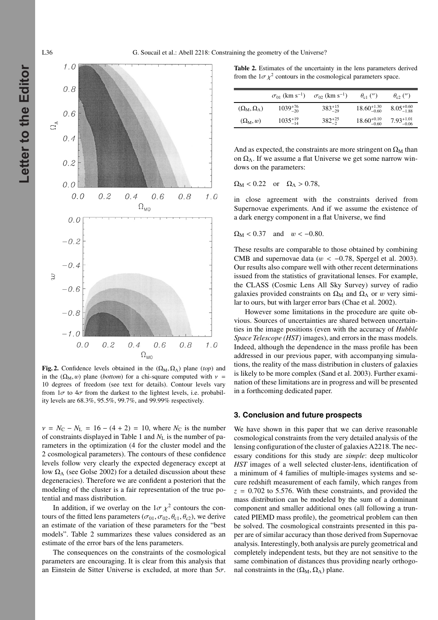

**Fig. 2.** Confidence levels obtained in the  $(\Omega_M, \Omega_\Lambda)$  plane (*top*) and in the  $(\Omega_M, w)$  plane (*bottom*) for a chi-square computed with  $v =$ 10 degrees of freedom (see text for details). Contour levels vary from  $1\sigma$  to  $4\sigma$  from the darkest to the lightest levels, i.e. probability levels are 68.3%, 95.5%, 99.7%, and 99.99% respectively.

 $v = N_C - N_L = 16 - (4 + 2) = 10$ , where  $N_C$  is the number of constraints displayed in Table 1 and *N*<sup>L</sup> is the number of parameters in the optimization (4 for the cluster model and the 2 cosmological parameters). The contours of these confidence levels follow very clearly the expected degeneracy except at low  $\Omega$ <sub>Λ</sub> (see Golse 2002) for a detailed discussion about these degeneracies). Therefore we are confident a posteriori that the modeling of the cluster is a fair representation of the true potential and mass distribution.

In addition, if we overlay on the  $1\sigma \chi^2$  contours the contours of the fitted lens parameters ( $\sigma_{01}, \sigma_{02}, \theta_{c1}, \theta_{c2}$ ), we derive an estimate of the variation of these parameters for the "best models". Table 2 summarizes these values considered as an estimate of the error bars of the lens parameters.

The consequences on the constraints of the cosmological parameters are encouraging. It is clear from this analysis that an Einstein de Sitter Universe is excluded, at more than  $5\sigma$ .

**Table 2.** Estimates of the uncertainty in the lens parameters derived from the  $1\sigma\chi^2$  contours in the cosmological parameters space.

|                                      | $\sigma_{01}$ (km s <sup>-1</sup> ) | $\sigma_{02}$ (km s <sup>-1</sup> ) | $\theta_{c1}$ (")       | $\theta_{c2}$ (")      |
|--------------------------------------|-------------------------------------|-------------------------------------|-------------------------|------------------------|
| $(\Omega_{\rm M}, \Omega_{\Lambda})$ | $1039^{+76}_{-20}$                  | $383^{+15}_{-29}$                   | $18.60^{+1.30}_{-0.60}$ | $8.05_{-1.88}^{+0.60}$ |
| $(\Omega_M, w)$                      | $1035^{+19}_{-14}$                  | $382^{+25}_{-2}$                    | $18.60^{+0.10}_{-0.60}$ | $7.93_{-0.06}^{+1.01}$ |

And as expected, the constraints are more stringent on  $\Omega_M$  than on  $\Omega_{\Lambda}$ . If we assume a flat Universe we get some narrow windows on the parameters:

$$
\Omega_{\rm M} < 0.22 \quad \text{or} \quad \Omega_{\Lambda} > 0.78,
$$

in close agreement with the constraints derived from Supernovae experiments. And if we assume the existence of a dark energy component in a flat Universe, we find

$$
\Omega_{\rm M} < 0.37 \quad \text{and} \quad w < -0.80.
$$

These results are comparable to those obtained by combining CMB and supernovae data ( $w < -0.78$ , Spergel et al. 2003). Our results also compare well with other recent determinations issued from the statistics of gravitational lenses. For example, the CLASS (Cosmic Lens All Sky Survey) survey of radio galaxies provided constraints on  $\Omega_M$  and  $\Omega_{\Lambda}$  or w very similar to ours, but with larger error bars (Chae et al. 2002).

However some limitations in the procedure are quite obvious. Sources of uncertainties are shared between uncertainties in the image positions (even with the accuracy of *Hubble Space Telescope (HST)* images), and errors in the mass models. Indeed, although the dependence in the mass profile has been addressed in our previous paper, with accompanying simulations, the reality of the mass distribution in clusters of galaxies is likely to be more complex (Sand et al. 2003). Further examination of these limitations are in progress and will be presented in a forthcoming dedicated paper.

#### **3. Conclusion and future prospects**

We have shown in this paper that we can derive reasonable cosmological constraints from the very detailed analysis of the lensing configuration of the cluster of galaxies A2218. The necessary conditions for this study are *simple*: deep multicolor *HST* images of a well selected cluster-lens, identification of a minimum of 4 families of multiple-images systems and secure redshift measurement of each family, which ranges from  $z = 0.702$  to 5.576. With these constraints, and provided the mass distribution can be modeled by the sum of a dominant component and smaller additional ones (all following a truncated PIEMD mass profile), the geometrical problem can then be solved. The cosmological constraints presented in this paper are of similar accuracy than those derived from Supernovae analysis. Interestingly, both analysis are purely geometrical and completely independent tests, but they are not sensitive to the same combination of distances thus providing nearly orthogonal constraints in the  $(Ω<sub>M</sub>, Ω<sub>Λ</sub>)$  plane.